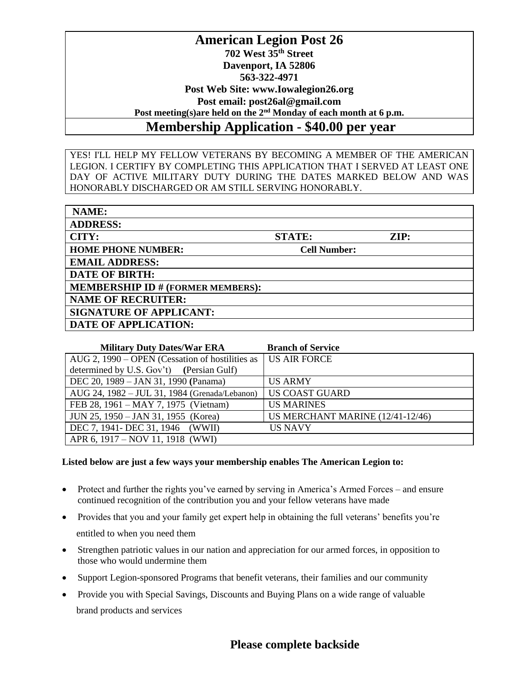## **American Legion Post 26 702 West 35th Street Davenport, IA 52806 563-322-4971 Post Web Site: www.Iowalegion26.org Post email: post26al@gmail.com Post meeting(s)are held on the 2nd Monday of each month at 6 p.m. Membership Application - \$40.00 per year**

YES! I'LL HELP MY FELLOW VETERANS BY BECOMING A MEMBER OF THE AMERICAN LEGION. I CERTIFY BY COMPLETING THIS APPLICATION THAT I SERVED AT LEAST ONE DAY OF ACTIVE MILITARY DUTY DURING THE DATES MARKED BELOW AND WAS HONORABLY DISCHARGED OR AM STILL SERVING HONORABLY.

| NAME:                                    |                     |                 |
|------------------------------------------|---------------------|-----------------|
| <b>ADDRESS:</b>                          |                     |                 |
| CITY:                                    | <b>STATE:</b>       | $\mathbf{ZIP:}$ |
| <b>HOME PHONE NUMBER:</b>                | <b>Cell Number:</b> |                 |
| <b>EMAIL ADDRESS:</b>                    |                     |                 |
| <b>DATE OF BIRTH:</b>                    |                     |                 |
| <b>MEMBERSHIP ID # (FORMER MEMBERS):</b> |                     |                 |
| <b>NAME OF RECRUITER:</b>                |                     |                 |
| <b>SIGNATURE OF APPLICANT:</b>           |                     |                 |
| <b>DATE OF APPLICATION:</b>              |                     |                 |

| <b>Military Duty Dates/War ERA</b>              | <b>Branch of Service</b>         |
|-------------------------------------------------|----------------------------------|
| AUG 2, 1990 – OPEN (Cessation of hostilities as | US AIR FORCE                     |
| determined by U.S. Gov't) (Persian Gulf)        |                                  |
| DEC 20, 1989 - JAN 31, 1990 (Panama)            | <b>US ARMY</b>                   |
| AUG 24, 1982 - JUL 31, 1984 (Grenada/Lebanon)   | <b>US COAST GUARD</b>            |
| FEB 28, 1961 – MAY 7, 1975 (Vietnam)            | <b>US MARINES</b>                |
| JUN 25, 1950 – JAN 31, 1955 (Korea)             | US MERCHANT MARINE (12/41-12/46) |
| DEC 7, 1941- DEC 31, 1946 (WWII)                | <b>US NAVY</b>                   |
| APR 6, 1917 – NOV 11, 1918 (WWI)                |                                  |

## **Listed below are just a few ways your membership enables The American Legion to:**

- Protect and further the rights you've earned by serving in America's Armed Forces and ensure continued recognition of the contribution you and your fellow veterans have made
- Provides that you and your family get expert help in obtaining the full veterans' benefits you're entitled to when you need them
- Strengthen patriotic values in our nation and appreciation for our armed forces, in opposition to those who would undermine them
- Support Legion-sponsored Programs that benefit veterans, their families and our community
- Provide you with Special Savings, Discounts and Buying Plans on a wide range of valuable brand products and services

## **Please complete backside**